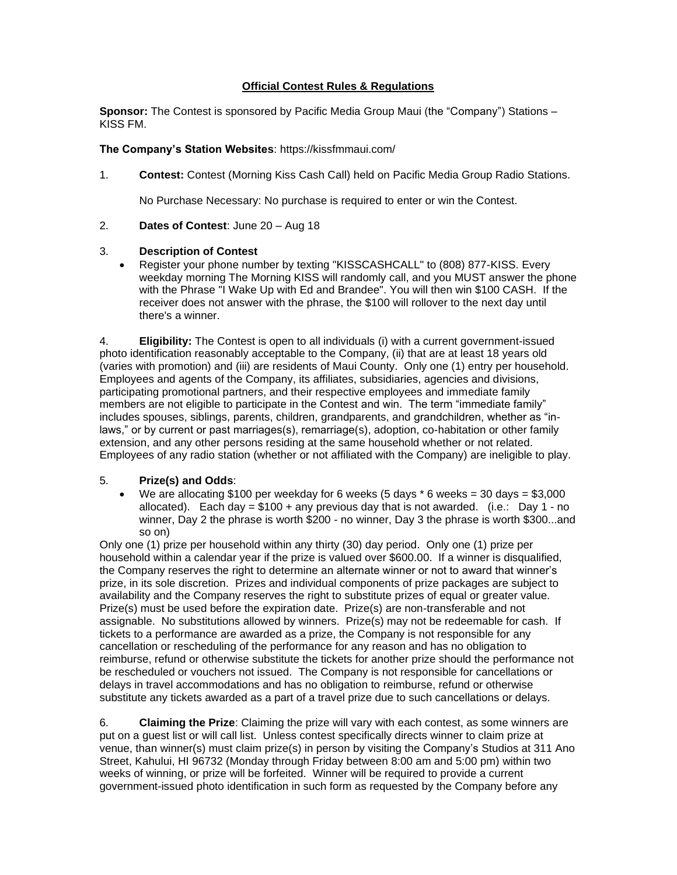## **Official Contest Rules & Regulations**

**Sponsor:** The Contest is sponsored by Pacific Media Group Maui (the "Company") Stations – KISS FM.

## **The Company's Station Websites**: https://kissfmmaui.com/

1. **Contest:** Contest (Morning Kiss Cash Call) held on Pacific Media Group Radio Stations.

No Purchase Necessary: No purchase is required to enter or win the Contest.

2. **Dates of Contest**: June 20 – Aug 18

## 3. **Description of Contest**

• Register your phone number by texting "KISSCASHCALL" to (808) 877-KISS. Every weekday morning The Morning KISS will randomly call, and you MUST answer the phone with the Phrase "I Wake Up with Ed and Brandee". You will then win \$100 CASH. If the receiver does not answer with the phrase, the \$100 will rollover to the next day until there's a winner.

4. **Eligibility:** The Contest is open to all individuals (i) with a current government-issued photo identification reasonably acceptable to the Company, (ii) that are at least 18 years old (varies with promotion) and (iii) are residents of Maui County. Only one (1) entry per household. Employees and agents of the Company, its affiliates, subsidiaries, agencies and divisions, participating promotional partners, and their respective employees and immediate family members are not eligible to participate in the Contest and win. The term "immediate family" includes spouses, siblings, parents, children, grandparents, and grandchildren, whether as "inlaws," or by current or past marriages(s), remarriage(s), adoption, co-habitation or other family extension, and any other persons residing at the same household whether or not related. Employees of any radio station (whether or not affiliated with the Company) are ineligible to play.

## 5. **Prize(s) and Odds**:

• We are allocating \$100 per weekday for 6 weeks (5 days  $*$  6 weeks = 30 days = \$3,000 allocated). Each day  $= $100 +$  any previous day that is not awarded. (i.e.: Day 1 - no winner, Day 2 the phrase is worth \$200 - no winner, Day 3 the phrase is worth \$300...and so on)

Only one (1) prize per household within any thirty (30) day period. Only one (1) prize per household within a calendar year if the prize is valued over \$600.00. If a winner is disqualified, the Company reserves the right to determine an alternate winner or not to award that winner's prize, in its sole discretion. Prizes and individual components of prize packages are subject to availability and the Company reserves the right to substitute prizes of equal or greater value. Prize(s) must be used before the expiration date. Prize(s) are non-transferable and not assignable. No substitutions allowed by winners. Prize(s) may not be redeemable for cash. If tickets to a performance are awarded as a prize, the Company is not responsible for any cancellation or rescheduling of the performance for any reason and has no obligation to reimburse, refund or otherwise substitute the tickets for another prize should the performance not be rescheduled or vouchers not issued. The Company is not responsible for cancellations or delays in travel accommodations and has no obligation to reimburse, refund or otherwise substitute any tickets awarded as a part of a travel prize due to such cancellations or delays.

6. **Claiming the Prize**: Claiming the prize will vary with each contest, as some winners are put on a guest list or will call list. Unless contest specifically directs winner to claim prize at venue, than winner(s) must claim prize(s) in person by visiting the Company's Studios at 311 Ano Street, Kahului, HI 96732 (Monday through Friday between 8:00 am and 5:00 pm) within two weeks of winning, or prize will be forfeited. Winner will be required to provide a current government-issued photo identification in such form as requested by the Company before any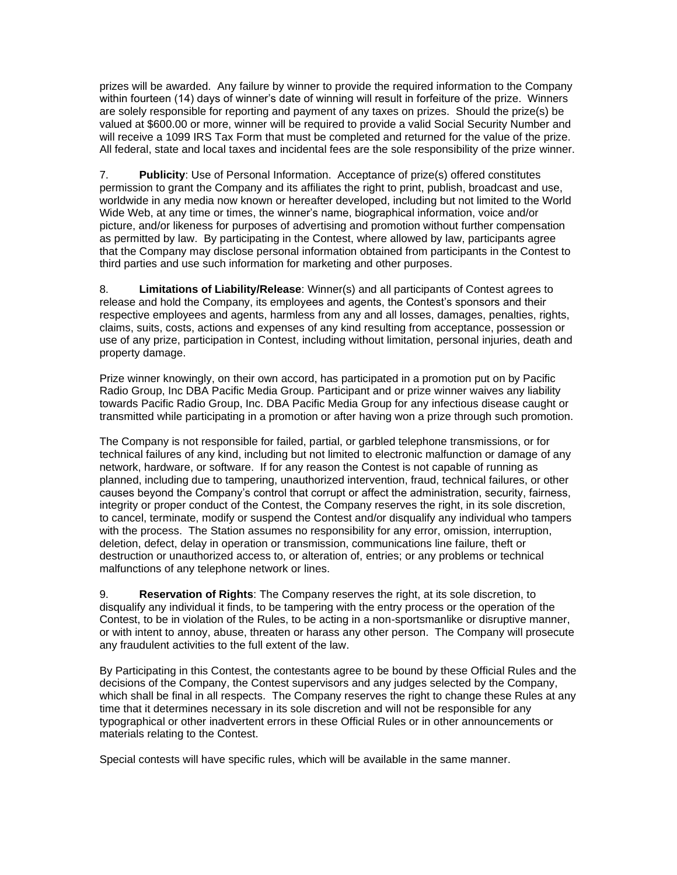prizes will be awarded. Any failure by winner to provide the required information to the Company within fourteen (14) days of winner's date of winning will result in forfeiture of the prize. Winners are solely responsible for reporting and payment of any taxes on prizes. Should the prize(s) be valued at \$600.00 or more, winner will be required to provide a valid Social Security Number and will receive a 1099 IRS Tax Form that must be completed and returned for the value of the prize. All federal, state and local taxes and incidental fees are the sole responsibility of the prize winner.

7. **Publicity**: Use of Personal Information. Acceptance of prize(s) offered constitutes permission to grant the Company and its affiliates the right to print, publish, broadcast and use, worldwide in any media now known or hereafter developed, including but not limited to the World Wide Web, at any time or times, the winner's name, biographical information, voice and/or picture, and/or likeness for purposes of advertising and promotion without further compensation as permitted by law. By participating in the Contest, where allowed by law, participants agree that the Company may disclose personal information obtained from participants in the Contest to third parties and use such information for marketing and other purposes.

8. **Limitations of Liability/Release**: Winner(s) and all participants of Contest agrees to release and hold the Company, its employees and agents, the Contest's sponsors and their respective employees and agents, harmless from any and all losses, damages, penalties, rights, claims, suits, costs, actions and expenses of any kind resulting from acceptance, possession or use of any prize, participation in Contest, including without limitation, personal injuries, death and property damage.

Prize winner knowingly, on their own accord, has participated in a promotion put on by Pacific Radio Group, Inc DBA Pacific Media Group. Participant and or prize winner waives any liability towards Pacific Radio Group, Inc. DBA Pacific Media Group for any infectious disease caught or transmitted while participating in a promotion or after having won a prize through such promotion.

The Company is not responsible for failed, partial, or garbled telephone transmissions, or for technical failures of any kind, including but not limited to electronic malfunction or damage of any network, hardware, or software. If for any reason the Contest is not capable of running as planned, including due to tampering, unauthorized intervention, fraud, technical failures, or other causes beyond the Company's control that corrupt or affect the administration, security, fairness, integrity or proper conduct of the Contest, the Company reserves the right, in its sole discretion, to cancel, terminate, modify or suspend the Contest and/or disqualify any individual who tampers with the process. The Station assumes no responsibility for any error, omission, interruption, deletion, defect, delay in operation or transmission, communications line failure, theft or destruction or unauthorized access to, or alteration of, entries; or any problems or technical malfunctions of any telephone network or lines.

9. **Reservation of Rights**: The Company reserves the right, at its sole discretion, to disqualify any individual it finds, to be tampering with the entry process or the operation of the Contest, to be in violation of the Rules, to be acting in a non-sportsmanlike or disruptive manner, or with intent to annoy, abuse, threaten or harass any other person. The Company will prosecute any fraudulent activities to the full extent of the law.

By Participating in this Contest, the contestants agree to be bound by these Official Rules and the decisions of the Company, the Contest supervisors and any judges selected by the Company, which shall be final in all respects. The Company reserves the right to change these Rules at any time that it determines necessary in its sole discretion and will not be responsible for any typographical or other inadvertent errors in these Official Rules or in other announcements or materials relating to the Contest.

Special contests will have specific rules, which will be available in the same manner.